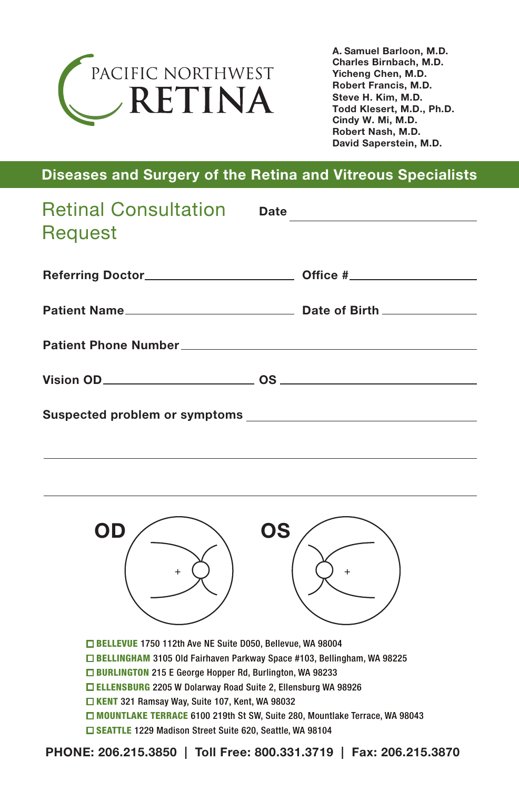

Steve H. Kim, M.D. Todd Klesert, M.D., Ph.D. Cindy W. Mi, M.D. Robert Nash, M.D. David Saperstein, M.D. A. Samuel Barloon, M.D. Charles Birnbach, M.D. Yicheng Chen, M.D. Robert Francis, M.D.

#### Diseases and Surgery of the Retina and Vitreous Specialists

| Retinal Consultation Date _________________<br>Request |  |
|--------------------------------------------------------|--|
|                                                        |  |
|                                                        |  |
|                                                        |  |
|                                                        |  |
|                                                        |  |



BELLEVUE 1750 112th Ave NE Suite D050, Bellevue, WA 98004 BELLINGHAM 3105 Old Fairhaven Parkway Space #103, Bellingham, WA 98225 □ BURLINGTON 215 E George Hopper Rd, Burlington, WA 98233 ELLENSBURG 2205 W Dolarway Road Suite 2, Ellensburg WA 98926 KENT 321 Ramsay Way, Suite 107, Kent, WA 98032 □ MOUNTLAKE TERRACE 6100 219th St SW, Suite 280, Mountlake Terrace, WA 98043 □ SEATTLE 1229 Madison Street Suite 620, Seattle, WA 98104

PHONE: 206.215.3850 | Toll Free: 800.331.3719 | Fax: 206.215.3870